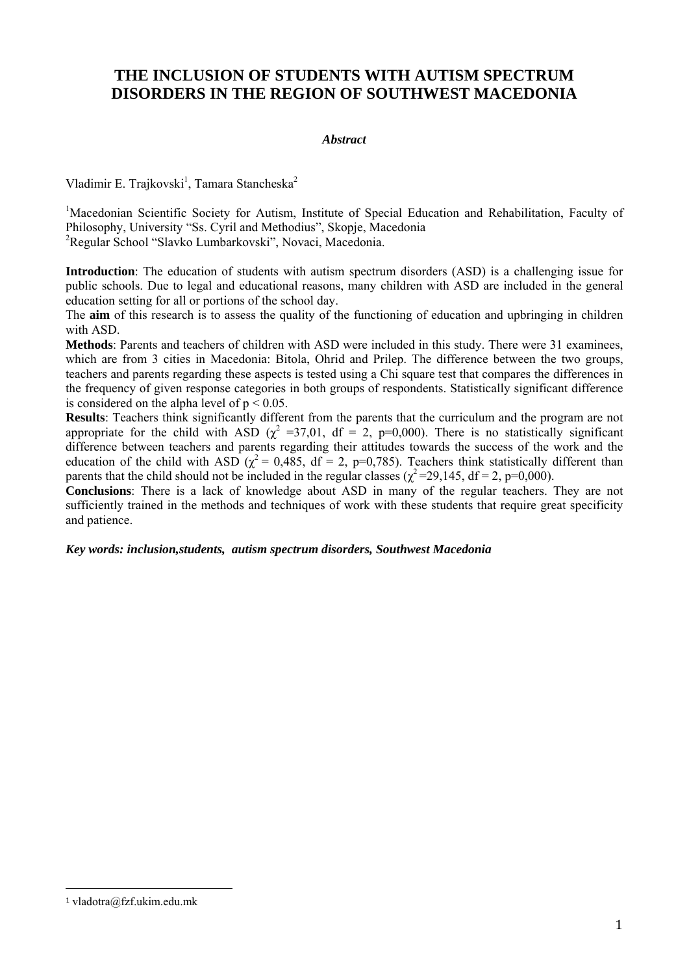## **THE INCLUSION OF STUDENTS WITH AUTISM SPECTRUM DISORDERS IN THE REGION OF SOUTHWEST MACEDONIA**

#### *Abstract*

Vladimir E. Trajkovski<sup>1</sup>, Tamara Stancheska<sup>2</sup>

<sup>1</sup>Macedonian Scientific Society for Autism, Institute of Special Education and Rehabilitation, Faculty of Philosophy, University "Ss. Cyril and Methodius", Skopje, Macedonia 2 Regular School "Slavko Lumbarkovski", Novaci, Macedonia.

**Introduction**: The education of students with autism spectrum disorders (ASD) is a challenging issue for public schools. Due to legal and educational reasons, many children with ASD are included in the general education setting for all or portions of the school day.

The **aim** of this research is to assess the quality of the functioning of education and upbringing in children with ASD.

**Methods**: Parents and teachers of children with ASD were included in this study. There were 31 examinees, which are from 3 cities in Macedonia: Bitola, Ohrid and Prilep. The difference between the two groups, teachers and parents regarding these aspects is tested using a Chi square test that compares the differences in the frequency of given response categories in both groups of respondents. Statistically significant difference is considered on the alpha level of  $p < 0.05$ .

**Results**: Teachers think significantly different from the parents that the curriculum and the program are not appropriate for the child with ASD ( $\chi^2$  =37,01, df = 2, p=0,000). There is no statistically significant difference between teachers and parents regarding their attitudes towards the success of the work and the education of the child with ASD ( $\chi^2$  = 0,485, df = 2, p=0,785). Teachers think statistically different than parents that the child should not be included in the regular classes ( $\chi^2$ =29,145, df = 2, p=0,000).

**Conclusions**: There is a lack of knowledge about ASD in many of the regular teachers. They are not sufficiently trained in the methods and techniques of work with these students that require great specificity and patience.

*Key words: inclusion,students, autism spectrum disorders, Southwest Macedonia* 

 

<sup>1</sup> vladotra@fzf.ukim.edu.mk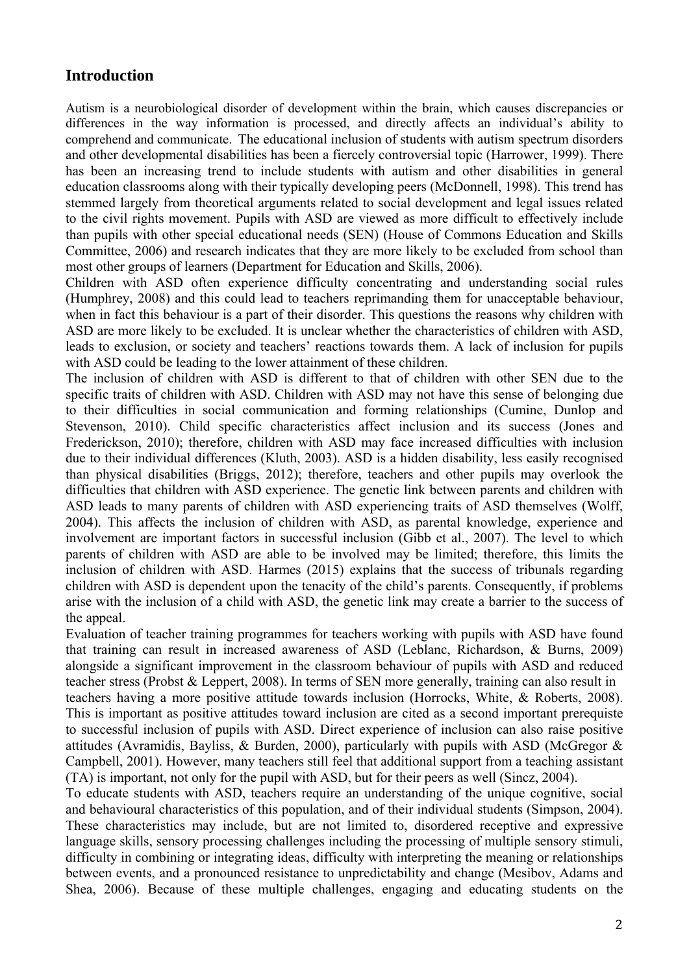## **Introduction**

Autism is a neurobiological disorder of development within the brain, which causes discrepancies or differences in the way information is processed, and directly affects an individual's ability to comprehend and communicate. The educational inclusion of students with autism spectrum disorders and other developmental disabilities has been a fiercely controversial topic (Harrower, 1999). There has been an increasing trend to include students with autism and other disabilities in general education classrooms along with their typically developing peers (McDonnell, 1998). This trend has stemmed largely from theoretical arguments related to social development and legal issues related to the civil rights movement. Pupils with ASD are viewed as more difficult to effectively include than pupils with other special educational needs (SEN) (House of Commons Education and Skills Committee, 2006) and research indicates that they are more likely to be excluded from school than most other groups of learners (Department for Education and Skills, 2006).

Children with ASD often experience difficulty concentrating and understanding social rules (Humphrey, 2008) and this could lead to teachers reprimanding them for unacceptable behaviour, when in fact this behaviour is a part of their disorder. This questions the reasons why children with ASD are more likely to be excluded. It is unclear whether the characteristics of children with ASD, leads to exclusion, or society and teachers' reactions towards them. A lack of inclusion for pupils with ASD could be leading to the lower attainment of these children.

The inclusion of children with ASD is different to that of children with other SEN due to the specific traits of children with ASD. Children with ASD may not have this sense of belonging due to their difficulties in social communication and forming relationships (Cumine, Dunlop and Stevenson, 2010). Child specific characteristics affect inclusion and its success (Jones and Frederickson, 2010); therefore, children with ASD may face increased difficulties with inclusion due to their individual differences (Kluth, 2003). ASD is a hidden disability, less easily recognised than physical disabilities (Briggs, 2012); therefore, teachers and other pupils may overlook the difficulties that children with ASD experience. The genetic link between parents and children with ASD leads to many parents of children with ASD experiencing traits of ASD themselves (Wolff, 2004). This affects the inclusion of children with ASD, as parental knowledge, experience and involvement are important factors in successful inclusion (Gibb et al., 2007). The level to which parents of children with ASD are able to be involved may be limited; therefore, this limits the inclusion of children with ASD. Harmes (2015) explains that the success of tribunals regarding children with ASD is dependent upon the tenacity of the child's parents. Consequently, if problems arise with the inclusion of a child with ASD, the genetic link may create a barrier to the success of the appeal.

Evaluation of teacher training programmes for teachers working with pupils with ASD have found that training can result in increased awareness of ASD (Leblanc, Richardson, & Burns, 2009) alongside a significant improvement in the classroom behaviour of pupils with ASD and reduced teacher stress (Probst & Leppert, 2008). In terms of SEN more generally, training can also result in teachers having a more positive attitude towards inclusion (Horrocks, White, & Roberts, 2008). This is important as positive attitudes toward inclusion are cited as a second important prerequiste to successful inclusion of pupils with ASD. Direct experience of inclusion can also raise positive attitudes (Avramidis, Bayliss, & Burden, 2000), particularly with pupils with ASD (McGregor  $\&$ Campbell, 2001). However, many teachers still feel that additional support from a teaching assistant (TA) is important, not only for the pupil with ASD, but for their peers as well (Sincz, 2004).

To educate students with ASD, teachers require an understanding of the unique cognitive, social and behavioural characteristics of this population, and of their individual students (Simpson, 2004). These characteristics may include, but are not limited to, disordered receptive and expressive language skills, sensory processing challenges including the processing of multiple sensory stimuli, difficulty in combining or integrating ideas, difficulty with interpreting the meaning or relationships between events, and a pronounced resistance to unpredictability and change (Mesibov, Adams and Shea, 2006). Because of these multiple challenges, engaging and educating students on the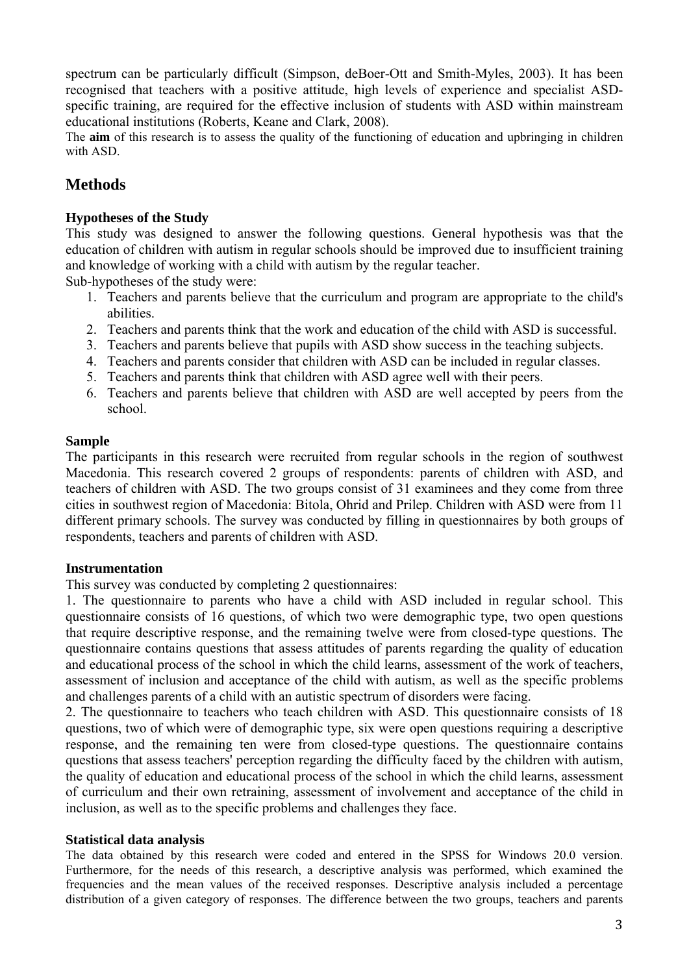spectrum can be particularly difficult (Simpson, deBoer-Ott and Smith-Myles, 2003). It has been recognised that teachers with a positive attitude, high levels of experience and specialist ASDspecific training, are required for the effective inclusion of students with ASD within mainstream educational institutions (Roberts, Keane and Clark, 2008).

The **aim** of this research is to assess the quality of the functioning of education and upbringing in children with ASD.

# **Methods**

#### **Hypotheses of the Study**

This study was designed to answer the following questions. General hypothesis was that the education of children with autism in regular schools should be improved due to insufficient training and knowledge of working with a child with autism by the regular teacher.

Sub-hypotheses of the study were:

- 1. Teachers and parents believe that the curriculum and program are appropriate to the child's abilities.
- 2. Teachers and parents think that the work and education of the child with ASD is successful.
- 3. Teachers and parents believe that pupils with ASD show success in the teaching subjects.
- 4. Teachers and parents consider that children with ASD can be included in regular classes.
- 5. Teachers and parents think that children with ASD agree well with their peers.
- 6. Teachers and parents believe that children with ASD are well accepted by peers from the school.

#### **Sample**

The participants in this research were recruited from regular schools in the region of southwest Macedonia. This research covered 2 groups of respondents: parents of children with ASD, and teachers of children with ASD. The two groups consist of 31 examinees and they come from three cities in southwest region of Macedonia: Bitola, Ohrid and Prilep. Children with ASD were from 11 different primary schools. The survey was conducted by filling in questionnaires by both groups of respondents, teachers and parents of children with ASD.

#### **Instrumentation**

This survey was conducted by completing 2 questionnaires:

1. The questionnaire to parents who have a child with ASD included in regular school. This questionnaire consists of 16 questions, of which two were demographic type, two open questions that require descriptive response, and the remaining twelve were from closed-type questions. The questionnaire contains questions that assess attitudes of parents regarding the quality of education and educational process of the school in which the child learns, assessment of the work of teachers, assessment of inclusion and acceptance of the child with autism, as well as the specific problems and challenges parents of a child with an autistic spectrum of disorders were facing.

2. The questionnaire to teachers who teach children with ASD. This questionnaire consists of 18 questions, two of which were of demographic type, six were open questions requiring a descriptive response, and the remaining ten were from closed-type questions. The questionnaire contains questions that assess teachers' perception regarding the difficulty faced by the children with autism, the quality of education and educational process of the school in which the child learns, assessment of curriculum and their own retraining, assessment of involvement and acceptance of the child in inclusion, as well as to the specific problems and challenges they face.

#### **Statistical data analysis**

The data obtained by this research were coded and entered in the SPSS for Windows 20.0 version. Furthermore, for the needs of this research, a descriptive analysis was performed, which examined the frequencies and the mean values of the received responses. Descriptive analysis included a percentage distribution of a given category of responses. The difference between the two groups, teachers and parents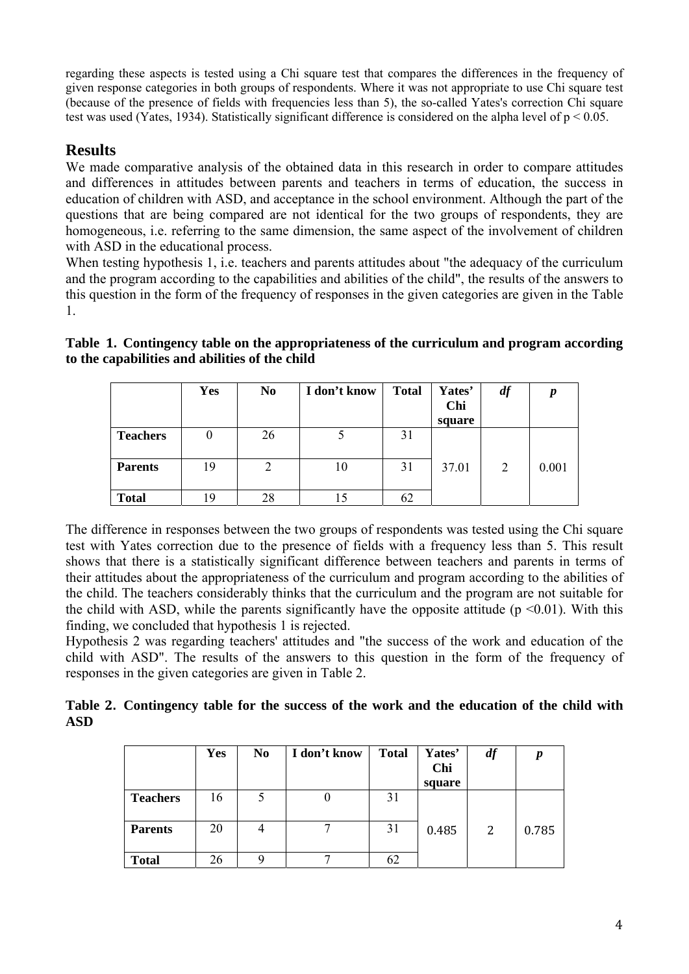regarding these aspects is tested using a Chi square test that compares the differences in the frequency of given response categories in both groups of respondents. Where it was not appropriate to use Chi square test (because of the presence of fields with frequencies less than 5), the so-called Yates's correction Chi square test was used (Yates, 1934). Statistically significant difference is considered on the alpha level of  $p < 0.05$ .

# **Results**

We made comparative analysis of the obtained data in this research in order to compare attitudes and differences in attitudes between parents and teachers in terms of education, the success in education of children with ASD, and acceptance in the school environment. Although the part of the questions that are being compared are not identical for the two groups of respondents, they are homogeneous, i.e. referring to the same dimension, the same aspect of the involvement of children with ASD in the educational process.

When testing hypothesis 1, i.e. teachers and parents attitudes about "the adequacy of the curriculum and the program according to the capabilities and abilities of the child", the results of the answers to this question in the form of the frequency of responses in the given categories are given in the Table 1.

**Table 1. Contingency table on the appropriateness of the curriculum and program according to the capabilities and abilities of the child** 

|                 | <b>Yes</b> | N <sub>0</sub> | I don't know | <b>Total</b> | Yates' | df | D     |
|-----------------|------------|----------------|--------------|--------------|--------|----|-------|
|                 |            |                |              |              | Chi    |    |       |
|                 |            |                |              |              | square |    |       |
| <b>Teachers</b> |            | 26             |              | 31           |        |    |       |
|                 |            |                |              |              |        |    |       |
| <b>Parents</b>  | 19         |                | 10           | 31           | 37.01  | 2  | 0.001 |
|                 |            |                |              |              |        |    |       |
| <b>Total</b>    | 19         | 28             |              | 62           |        |    |       |

The difference in responses between the two groups of respondents was tested using the Chi square test with Yates correction due to the presence of fields with a frequency less than 5. This result shows that there is a statistically significant difference between teachers and parents in terms of their attitudes about the appropriateness of the curriculum and program according to the abilities of the child. The teachers considerably thinks that the curriculum and the program are not suitable for the child with ASD, while the parents significantly have the opposite attitude ( $p \le 0.01$ ). With this finding, we concluded that hypothesis 1 is rejected.

Hypothesis 2 was regarding teachers' attitudes and "the success of the work and education of the child with ASD". The results of the answers to this question in the form of the frequency of responses in the given categories are given in Table 2.

|            | Table 2. Contingency table for the success of the work and the education of the child with |  |  |  |  |  |  |
|------------|--------------------------------------------------------------------------------------------|--|--|--|--|--|--|
| <b>ASD</b> |                                                                                            |  |  |  |  |  |  |

|                 | Yes | N <sub>0</sub> | I don't know | <b>Total</b> | Yates'<br>Chi<br>square | df | p     |
|-----------------|-----|----------------|--------------|--------------|-------------------------|----|-------|
| <b>Teachers</b> | 16  |                | U            | 31           |                         |    |       |
| <b>Parents</b>  | 20  | 4              |              | 31           | 0.485                   | 2  | 0.785 |
| <b>Total</b>    | 26  |                |              | 62           |                         |    |       |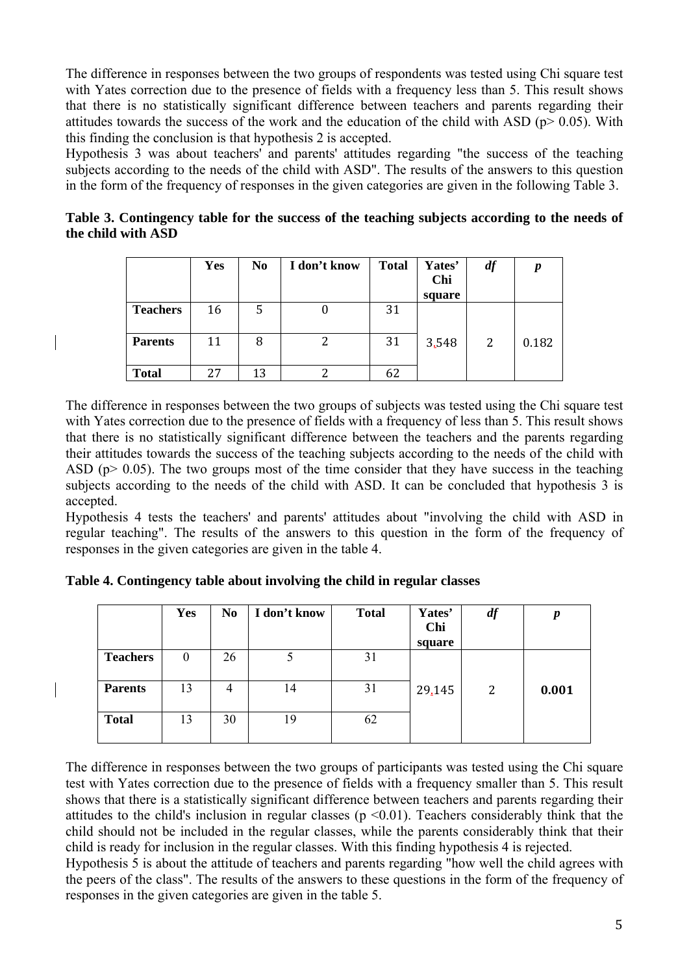The difference in responses between the two groups of respondents was tested using Chi square test with Yates correction due to the presence of fields with a frequency less than 5. This result shows that there is no statistically significant difference between teachers and parents regarding their attitudes towards the success of the work and the education of the child with ASD ( $p > 0.05$ ). With this finding the conclusion is that hypothesis 2 is accepted.

Hypothesis 3 was about teachers' and parents' attitudes regarding "the success of the teaching subjects according to the needs of the child with ASD". The results of the answers to this question in the form of the frequency of responses in the given categories are given in the following Table 3.

| Table 3. Contingency table for the success of the teaching subjects according to the needs of |  |  |  |
|-----------------------------------------------------------------------------------------------|--|--|--|
| the child with ASD                                                                            |  |  |  |

|                 | Yes | N <sub>o</sub> | I don't know | <b>Total</b> | Yates'<br>Chi | df             | n     |
|-----------------|-----|----------------|--------------|--------------|---------------|----------------|-------|
|                 |     |                |              |              | square        |                |       |
| <b>Teachers</b> | 16  | 5              |              | 31           |               |                |       |
| <b>Parents</b>  | 11  | 8              |              | 31           | 3.548         | $\overline{2}$ | 0.182 |
| <b>Total</b>    | 27  | 13             |              | 62           |               |                |       |

The difference in responses between the two groups of subjects was tested using the Chi square test with Yates correction due to the presence of fields with a frequency of less than 5. This result shows that there is no statistically significant difference between the teachers and the parents regarding their attitudes towards the success of the teaching subjects according to the needs of the child with ASD ( $p > 0.05$ ). The two groups most of the time consider that they have success in the teaching subjects according to the needs of the child with ASD. It can be concluded that hypothesis 3 is accepted.

Hypothesis 4 tests the teachers' and parents' attitudes about "involving the child with ASD in regular teaching". The results of the answers to this question in the form of the frequency of responses in the given categories are given in the table 4.

|                 | Yes      | N <sub>0</sub> | I don't know | <b>Total</b> | Yates'<br>Chi<br>square | df |       |
|-----------------|----------|----------------|--------------|--------------|-------------------------|----|-------|
| <b>Teachers</b> | $\theta$ | 26             |              | 31           |                         |    |       |
| <b>Parents</b>  | 13       | 4              | 14           | 31           | 29.145                  | 2  | 0.001 |
| <b>Total</b>    | 13       | 30             | 19           | 62           |                         |    |       |

**Table 4. Contingency table about involving the child in regular classes** 

The difference in responses between the two groups of participants was tested using the Chi square test with Yates correction due to the presence of fields with a frequency smaller than 5. This result shows that there is a statistically significant difference between teachers and parents regarding their attitudes to the child's inclusion in regular classes ( $p \le 0.01$ ). Teachers considerably think that the child should not be included in the regular classes, while the parents considerably think that their child is ready for inclusion in the regular classes. With this finding hypothesis 4 is rejected.

Hypothesis 5 is about the attitude of teachers and parents regarding "how well the child agrees with the peers of the class". The results of the answers to these questions in the form of the frequency of responses in the given categories are given in the table 5.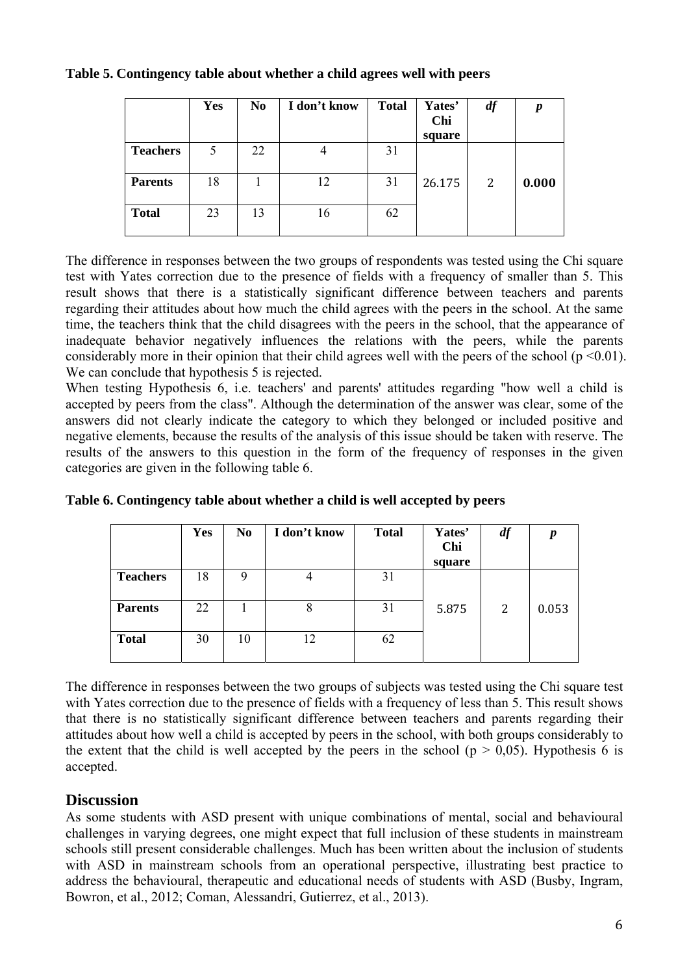### **Table 5. Contingency table about whether a child agrees well with peers**

|                 | Yes | N <sub>0</sub> | I don't know | <b>Total</b> | Yates'<br>Chi<br>square | df | p     |
|-----------------|-----|----------------|--------------|--------------|-------------------------|----|-------|
| <b>Teachers</b> |     | 22             | 4            | 31           |                         |    |       |
| <b>Parents</b>  | 18  |                | 12           | 31           | 26.175                  | 2  | 0.000 |
| <b>Total</b>    | 23  | 13             | 16           | 62           |                         |    |       |

The difference in responses between the two groups of respondents was tested using the Chi square test with Yates correction due to the presence of fields with a frequency of smaller than 5. This result shows that there is a statistically significant difference between teachers and parents regarding their attitudes about how much the child agrees with the peers in the school. At the same time, the teachers think that the child disagrees with the peers in the school, that the appearance of inadequate behavior negatively influences the relations with the peers, while the parents considerably more in their opinion that their child agrees well with the peers of the school ( $p \le 0.01$ ). We can conclude that hypothesis 5 is rejected.

When testing Hypothesis 6, i.e. teachers' and parents' attitudes regarding "how well a child is accepted by peers from the class". Although the determination of the answer was clear, some of the answers did not clearly indicate the category to which they belonged or included positive and negative elements, because the results of the analysis of this issue should be taken with reserve. The results of the answers to this question in the form of the frequency of responses in the given categories are given in the following table 6.

|                 | <b>Yes</b> | N <sub>o</sub> | I don't know | <b>Total</b> | Yates'<br><b>Chi</b><br>square | df | $\boldsymbol{p}$ |
|-----------------|------------|----------------|--------------|--------------|--------------------------------|----|------------------|
| <b>Teachers</b> | 18         | 9              |              | 31           |                                |    |                  |
| <b>Parents</b>  | 22         |                | 8            | 31           | 5.875                          | 2  | 0.053            |
| <b>Total</b>    | 30         | 10             | 12           | 62           |                                |    |                  |

**Table 6. Contingency table about whether a child is well accepted by peers** 

The difference in responses between the two groups of subjects was tested using the Chi square test with Yates correction due to the presence of fields with a frequency of less than 5. This result shows that there is no statistically significant difference between teachers and parents regarding their attitudes about how well a child is accepted by peers in the school, with both groups considerably to the extent that the child is well accepted by the peers in the school ( $p > 0.05$ ). Hypothesis 6 is accepted.

### **Discussion**

As some students with ASD present with unique combinations of mental, social and behavioural challenges in varying degrees, one might expect that full inclusion of these students in mainstream schools still present considerable challenges. Much has been written about the inclusion of students with ASD in mainstream schools from an operational perspective, illustrating best practice to address the behavioural, therapeutic and educational needs of students with ASD (Busby, Ingram, Bowron, et al., 2012; Coman, Alessandri, Gutierrez, et al., 2013).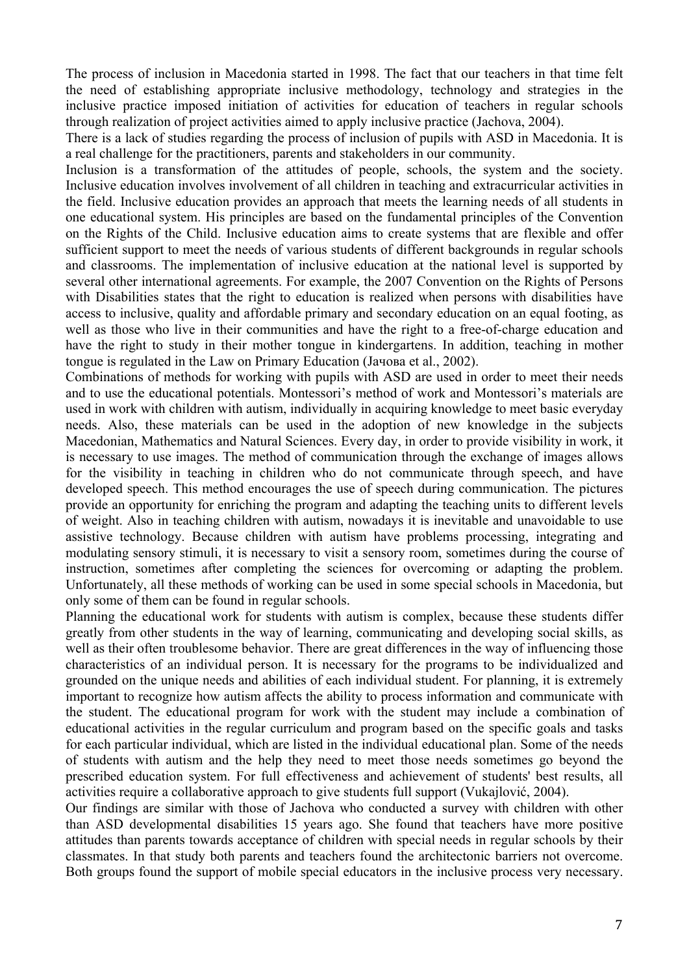The process of inclusion in Macedonia started in 1998. The fact that our teachers in that time felt the need of establishing appropriate inclusive methodology, technology and strategies in the inclusive practice imposed initiation of activities for education of teachers in regular schools through realization of project activities aimed to apply inclusive practice (Jachova, 2004).

There is a lack of studies regarding the process of inclusion of pupils with ASD in Macedonia. It is a real challenge for the practitioners, parents and stakeholders in our community.

Inclusion is a transformation of the attitudes of people, schools, the system and the society. Inclusive education involves involvement of all children in teaching and extracurricular activities in the field. Inclusive education provides an approach that meets the learning needs of all students in one educational system. His principles are based on the fundamental principles of the Convention on the Rights of the Child. Inclusive education aims to create systems that are flexible and offer sufficient support to meet the needs of various students of different backgrounds in regular schools and classrooms. The implementation of inclusive education at the national level is supported by several other international agreements. For example, the 2007 Convention on the Rights of Persons with Disabilities states that the right to education is realized when persons with disabilities have access to inclusive, quality and affordable primary and secondary education on an equal footing, as well as those who live in their communities and have the right to a free-of-charge education and have the right to study in their mother tongue in kindergartens. In addition, teaching in mother tongue is regulated in the Law on Primary Education (Јачова et al., 2002).

Combinations of methods for working with pupils with ASD are used in order to meet their needs and to use the educational potentials. Montessori's method of work and Montessori's materials are used in work with children with autism, individually in acquiring knowledge to meet basic everyday needs. Also, these materials can be used in the adoption of new knowledge in the subjects Macedonian, Mathematics and Natural Sciences. Every day, in order to provide visibility in work, it is necessary to use images. The method of communication through the exchange of images allows for the visibility in teaching in children who do not communicate through speech, and have developed speech. This method encourages the use of speech during communication. The pictures provide an opportunity for enriching the program and adapting the teaching units to different levels of weight. Also in teaching children with autism, nowadays it is inevitable and unavoidable to use assistive technology. Because children with autism have problems processing, integrating and modulating sensory stimuli, it is necessary to visit a sensory room, sometimes during the course of instruction, sometimes after completing the sciences for overcoming or adapting the problem. Unfortunately, all these methods of working can be used in some special schools in Macedonia, but only some of them can be found in regular schools.

Planning the educational work for students with autism is complex, because these students differ greatly from other students in the way of learning, communicating and developing social skills, as well as their often troublesome behavior. There are great differences in the way of influencing those characteristics of an individual person. It is necessary for the programs to be individualized and grounded on the unique needs and abilities of each individual student. For planning, it is extremely important to recognize how autism affects the ability to process information and communicate with the student. The educational program for work with the student may include a combination of educational activities in the regular curriculum and program based on the specific goals and tasks for each particular individual, which are listed in the individual educational plan. Some of the needs of students with autism and the help they need to meet those needs sometimes go beyond the prescribed education system. For full effectiveness and achievement of students' best results, all activities require a collaborative approach to give students full support (Vukajlović, 2004).

Our findings are similar with those of Jachova who conducted a survey with children with other than ASD developmental disabilities 15 years ago. She found that teachers have more positive attitudes than parents towards acceptance of children with special needs in regular schools by their classmates. In that study both parents and teachers found the architectonic barriers not overcome. Both groups found the support of mobile special educators in the inclusive process very necessary.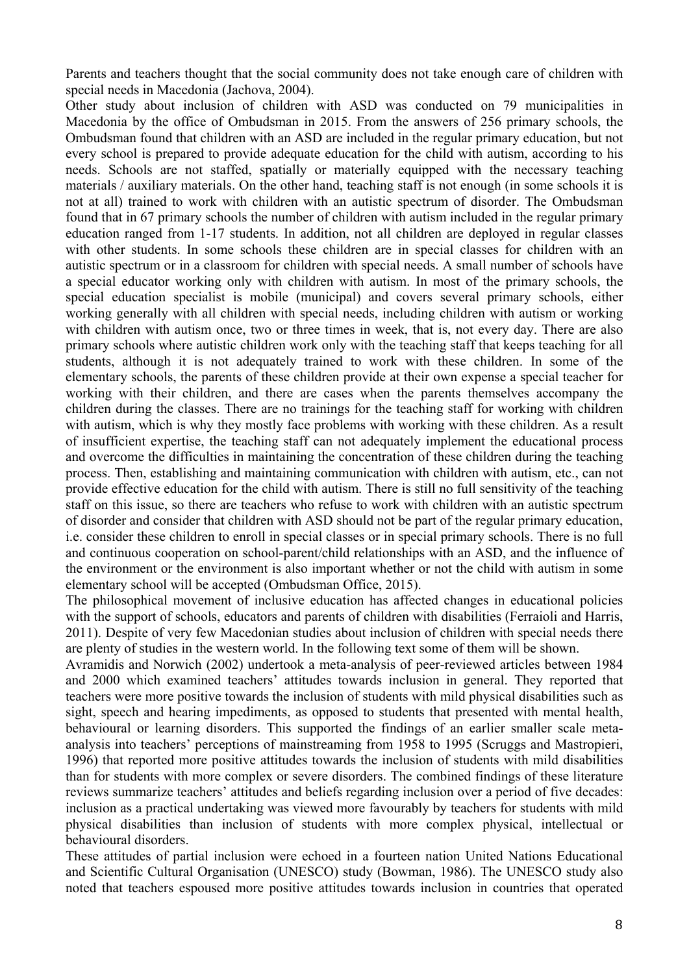Parents and teachers thought that the social community does not take enough care of children with special needs in Macedonia (Jachova, 2004).

Other study about inclusion of children with ASD was conducted on 79 municipalities in Macedonia by the office of Ombudsman in 2015. From the answers of 256 primary schools, the Ombudsman found that children with an ASD are included in the regular primary education, but not every school is prepared to provide adequate education for the child with autism, according to his needs. Schools are not staffed, spatially or materially equipped with the necessary teaching materials / auxiliary materials. On the other hand, teaching staff is not enough (in some schools it is not at all) trained to work with children with an autistic spectrum of disorder. The Ombudsman found that in 67 primary schools the number of children with autism included in the regular primary education ranged from 1-17 students. In addition, not all children are deployed in regular classes with other students. In some schools these children are in special classes for children with an autistic spectrum or in a classroom for children with special needs. A small number of schools have a special educator working only with children with autism. In most of the primary schools, the special education specialist is mobile (municipal) and covers several primary schools, either working generally with all children with special needs, including children with autism or working with children with autism once, two or three times in week, that is, not every day. There are also primary schools where autistic children work only with the teaching staff that keeps teaching for all students, although it is not adequately trained to work with these children. In some of the elementary schools, the parents of these children provide at their own expense a special teacher for working with their children, and there are cases when the parents themselves accompany the children during the classes. There are no trainings for the teaching staff for working with children with autism, which is why they mostly face problems with working with these children. As a result of insufficient expertise, the teaching staff can not adequately implement the educational process and overcome the difficulties in maintaining the concentration of these children during the teaching process. Then, establishing and maintaining communication with children with autism, etc., can not provide effective education for the child with autism. There is still no full sensitivity of the teaching staff on this issue, so there are teachers who refuse to work with children with an autistic spectrum of disorder and consider that children with ASD should not be part of the regular primary education, i.e. consider these children to enroll in special classes or in special primary schools. There is no full and continuous cooperation on school-parent/child relationships with an ASD, and the influence of the environment or the environment is also important whether or not the child with autism in some elementary school will be accepted (Ombudsman Office, 2015).

The philosophical movement of inclusive education has affected changes in educational policies with the support of schools, educators and parents of children with disabilities (Ferraioli and Harris, 2011). Despite of very few Macedonian studies about inclusion of children with special needs there are plenty of studies in the western world. In the following text some of them will be shown.

Avramidis and Norwich (2002) undertook a meta-analysis of peer-reviewed articles between 1984 and 2000 which examined teachers' attitudes towards inclusion in general. They reported that teachers were more positive towards the inclusion of students with mild physical disabilities such as sight, speech and hearing impediments, as opposed to students that presented with mental health, behavioural or learning disorders. This supported the findings of an earlier smaller scale metaanalysis into teachers' perceptions of mainstreaming from 1958 to 1995 (Scruggs and Mastropieri, 1996) that reported more positive attitudes towards the inclusion of students with mild disabilities than for students with more complex or severe disorders. The combined findings of these literature reviews summarize teachers' attitudes and beliefs regarding inclusion over a period of five decades: inclusion as a practical undertaking was viewed more favourably by teachers for students with mild physical disabilities than inclusion of students with more complex physical, intellectual or behavioural disorders.

These attitudes of partial inclusion were echoed in a fourteen nation United Nations Educational and Scientific Cultural Organisation (UNESCO) study (Bowman, 1986). The UNESCO study also noted that teachers espoused more positive attitudes towards inclusion in countries that operated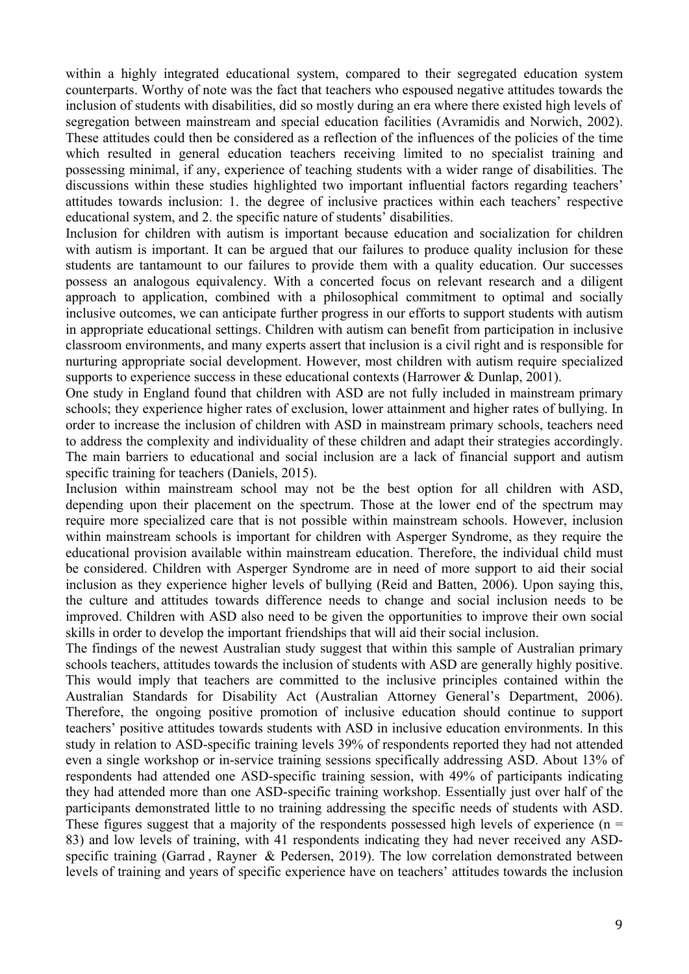within a highly integrated educational system, compared to their segregated education system counterparts. Worthy of note was the fact that teachers who espoused negative attitudes towards the inclusion of students with disabilities, did so mostly during an era where there existed high levels of segregation between mainstream and special education facilities (Avramidis and Norwich, 2002). These attitudes could then be considered as a reflection of the influences of the policies of the time which resulted in general education teachers receiving limited to no specialist training and possessing minimal, if any, experience of teaching students with a wider range of disabilities. The discussions within these studies highlighted two important influential factors regarding teachers' attitudes towards inclusion: 1. the degree of inclusive practices within each teachers' respective educational system, and 2. the specific nature of students' disabilities.

Inclusion for children with autism is important because education and socialization for children with autism is important. It can be argued that our failures to produce quality inclusion for these students are tantamount to our failures to provide them with a quality education. Our successes possess an analogous equivalency. With a concerted focus on relevant research and a diligent approach to application, combined with a philosophical commitment to optimal and socially inclusive outcomes, we can anticipate further progress in our efforts to support students with autism in appropriate educational settings. Children with autism can benefit from participation in inclusive classroom environments, and many experts assert that inclusion is a civil right and is responsible for nurturing appropriate social development. However, most children with autism require specialized supports to experience success in these educational contexts (Harrower & Dunlap, 2001).

One study in England found that children with ASD are not fully included in mainstream primary schools; they experience higher rates of exclusion, lower attainment and higher rates of bullying. In order to increase the inclusion of children with ASD in mainstream primary schools, teachers need to address the complexity and individuality of these children and adapt their strategies accordingly. The main barriers to educational and social inclusion are a lack of financial support and autism specific training for teachers (Daniels, 2015).

Inclusion within mainstream school may not be the best option for all children with ASD, depending upon their placement on the spectrum. Those at the lower end of the spectrum may require more specialized care that is not possible within mainstream schools. However, inclusion within mainstream schools is important for children with Asperger Syndrome, as they require the educational provision available within mainstream education. Therefore, the individual child must be considered. Children with Asperger Syndrome are in need of more support to aid their social inclusion as they experience higher levels of bullying (Reid and Batten, 2006). Upon saying this, the culture and attitudes towards difference needs to change and social inclusion needs to be improved. Children with ASD also need to be given the opportunities to improve their own social skills in order to develop the important friendships that will aid their social inclusion.

The findings of the newest Australian study suggest that within this sample of Australian primary schools teachers, attitudes towards the inclusion of students with ASD are generally highly positive. This would imply that teachers are committed to the inclusive principles contained within the Australian Standards for Disability Act (Australian Attorney General's Department, 2006). Therefore, the ongoing positive promotion of inclusive education should continue to support teachers' positive attitudes towards students with ASD in inclusive education environments. In this study in relation to ASD-specific training levels 39% of respondents reported they had not attended even a single workshop or in-service training sessions specifically addressing ASD. About 13% of respondents had attended one ASD-specific training session, with 49% of participants indicating they had attended more than one ASD-specific training workshop. Essentially just over half of the participants demonstrated little to no training addressing the specific needs of students with ASD. These figures suggest that a majority of the respondents possessed high levels of experience ( $n =$ 83) and low levels of training, with 41 respondents indicating they had never received any ASDspecific training (Garrad, Rayner & Pedersen, 2019). The low correlation demonstrated between levels of training and years of specific experience have on teachers' attitudes towards the inclusion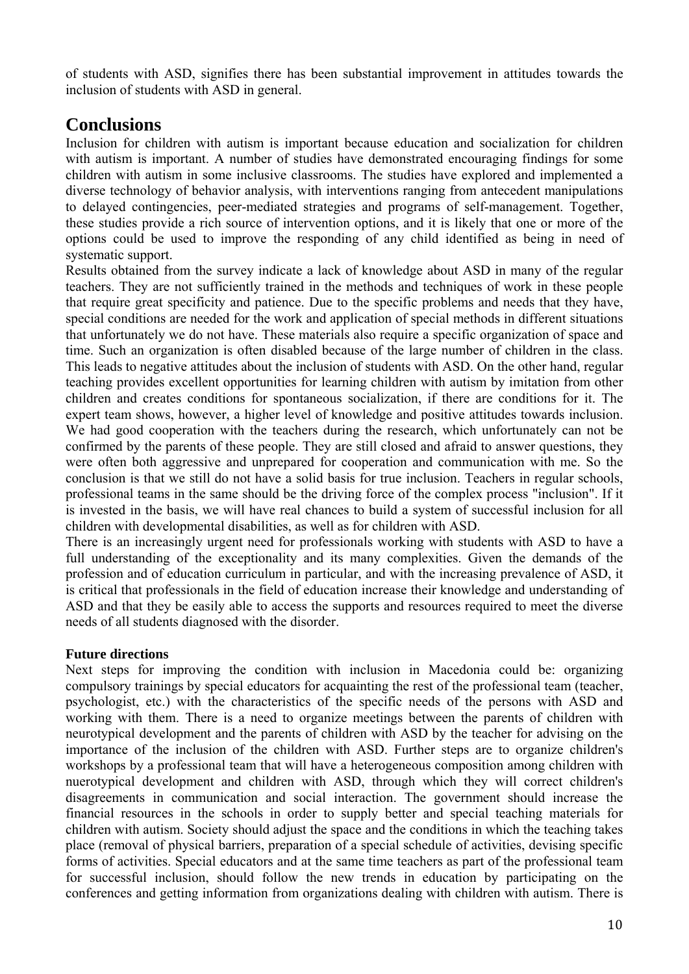of students with ASD, signifies there has been substantial improvement in attitudes towards the inclusion of students with ASD in general.

# **Conclusions**

Inclusion for children with autism is important because education and socialization for children with autism is important. A number of studies have demonstrated encouraging findings for some children with autism in some inclusive classrooms. The studies have explored and implemented a diverse technology of behavior analysis, with interventions ranging from antecedent manipulations to delayed contingencies, peer-mediated strategies and programs of self-management. Together, these studies provide a rich source of intervention options, and it is likely that one or more of the options could be used to improve the responding of any child identified as being in need of systematic support.

Results obtained from the survey indicate a lack of knowledge about ASD in many of the regular teachers. They are not sufficiently trained in the methods and techniques of work in these people that require great specificity and patience. Due to the specific problems and needs that they have, special conditions are needed for the work and application of special methods in different situations that unfortunately we do not have. These materials also require a specific organization of space and time. Such an organization is often disabled because of the large number of children in the class. This leads to negative attitudes about the inclusion of students with ASD. On the other hand, regular teaching provides excellent opportunities for learning children with autism by imitation from other children and creates conditions for spontaneous socialization, if there are conditions for it. The expert team shows, however, a higher level of knowledge and positive attitudes towards inclusion. We had good cooperation with the teachers during the research, which unfortunately can not be confirmed by the parents of these people. They are still closed and afraid to answer questions, they were often both aggressive and unprepared for cooperation and communication with me. So the conclusion is that we still do not have a solid basis for true inclusion. Teachers in regular schools, professional teams in the same should be the driving force of the complex process "inclusion". If it is invested in the basis, we will have real chances to build a system of successful inclusion for all children with developmental disabilities, as well as for children with ASD.

There is an increasingly urgent need for professionals working with students with ASD to have a full understanding of the exceptionality and its many complexities. Given the demands of the profession and of education curriculum in particular, and with the increasing prevalence of ASD, it is critical that professionals in the field of education increase their knowledge and understanding of ASD and that they be easily able to access the supports and resources required to meet the diverse needs of all students diagnosed with the disorder.

### **Future directions**

Next steps for improving the condition with inclusion in Macedonia could be: organizing compulsory trainings by special educators for acquainting the rest of the professional team (teacher, psychologist, etc.) with the characteristics of the specific needs of the persons with ASD and working with them. There is a need to organize meetings between the parents of children with neurotypical development and the parents of children with ASD by the teacher for advising on the importance of the inclusion of the children with ASD. Further steps are to organize children's workshops by a professional team that will have a heterogeneous composition among children with nuerotypical development and children with ASD, through which they will correct children's disagreements in communication and social interaction. The government should increase the financial resources in the schools in order to supply better and special teaching materials for children with autism. Society should adjust the space and the conditions in which the teaching takes place (removal of physical barriers, preparation of a special schedule of activities, devising specific forms of activities. Special educators and at the same time teachers as part of the professional team for successful inclusion, should follow the new trends in education by participating on the conferences and getting information from organizations dealing with children with autism. There is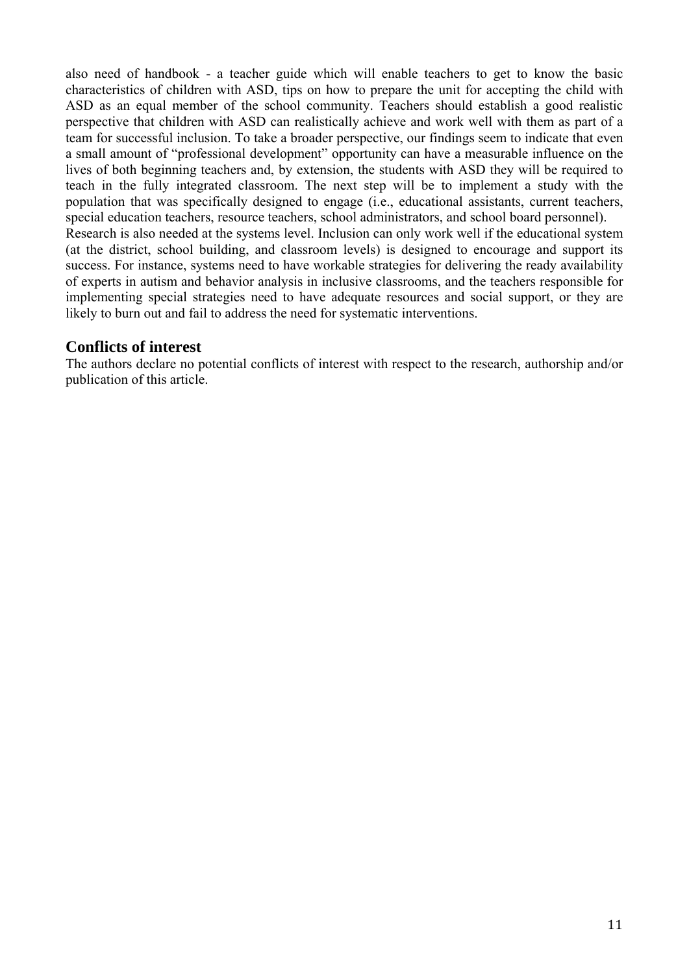also need of handbook - a teacher guide which will enable teachers to get to know the basic characteristics of children with ASD, tips on how to prepare the unit for accepting the child with ASD as an equal member of the school community. Teachers should establish a good realistic perspective that children with ASD can realistically achieve and work well with them as part of a team for successful inclusion. To take a broader perspective, our findings seem to indicate that even a small amount of "professional development" opportunity can have a measurable influence on the lives of both beginning teachers and, by extension, the students with ASD they will be required to teach in the fully integrated classroom. The next step will be to implement a study with the population that was specifically designed to engage (i.e., educational assistants, current teachers, special education teachers, resource teachers, school administrators, and school board personnel). Research is also needed at the systems level. Inclusion can only work well if the educational system (at the district, school building, and classroom levels) is designed to encourage and support its success. For instance, systems need to have workable strategies for delivering the ready availability of experts in autism and behavior analysis in inclusive classrooms, and the teachers responsible for implementing special strategies need to have adequate resources and social support, or they are

#### **Conflicts of interest**

The authors declare no potential conflicts of interest with respect to the research, authorship and/or publication of this article.

likely to burn out and fail to address the need for systematic interventions.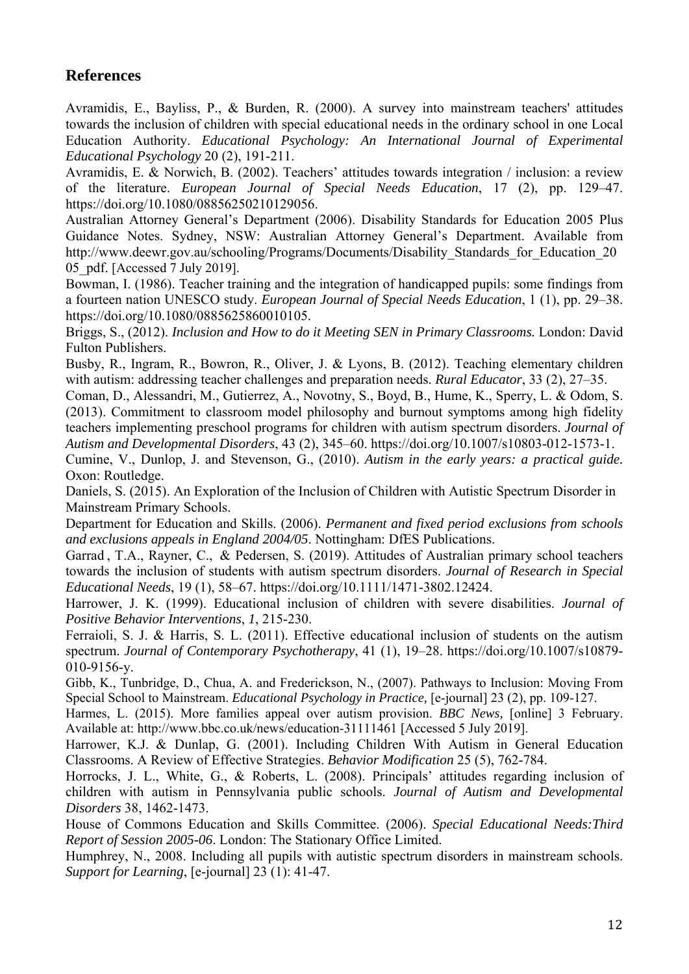# **References**

Avramidis, E., Bayliss, P., & Burden, R. (2000). A survey into mainstream teachers' attitudes towards the inclusion of children with special educational needs in the ordinary school in one Local Education Authority. *Educational Psychology: An International Journal of Experimental Educational Psychology* 20 (2), 191-211.

Avramidis, E. & Norwich, B. (2002). Teachers' attitudes towards integration / inclusion: a review of the literature. *European Journal of Special Needs Education*, 17 (2), pp. 129–47. https://doi.org/10.1080/08856250210129056.

Australian Attorney General's Department (2006). Disability Standards for Education 2005 Plus Guidance Notes. Sydney, NSW: Australian Attorney General's Department. Available from http://www.deewr.gov.au/schooling/Programs/Documents/Disability Standards for Education 20 05\_pdf. [Accessed 7 July 2019].

Bowman, I. (1986). Teacher training and the integration of handicapped pupils: some findings from a fourteen nation UNESCO study. *European Journal of Special Needs Education*, 1 (1), pp. 29–38. https://doi.org/10.1080/0885625860010105.

Briggs, S., (2012). *Inclusion and How to do it Meeting SEN in Primary Classrooms.* London: David Fulton Publishers.

Busby, R., Ingram, R., Bowron, R., Oliver, J. & Lyons, B. (2012). Teaching elementary children with autism: addressing teacher challenges and preparation needs. *Rural Educator*, 33 (2), 27–35.

Coman, D., Alessandri, M., Gutierrez, A., Novotny, S., Boyd, B., Hume, K., Sperry, L. & Odom, S. (2013). Commitment to classroom model philosophy and burnout symptoms among high fidelity teachers implementing preschool programs for children with autism spectrum disorders. *Journal of Autism and Developmental Disorders*, 43 (2), 345–60. https://doi.org/10.1007/s10803-012-1573-1.

Cumine, V., Dunlop, J. and Stevenson, G., (2010). *Autism in the early years: a practical guide.*  Oxon: Routledge.

Daniels, S. (2015). An Exploration of the Inclusion of Children with Autistic Spectrum Disorder in Mainstream Primary Schools.

Department for Education and Skills. (2006). *Permanent and fixed period exclusions from schools and exclusions appeals in England 2004/05*. Nottingham: DfES Publications.

Garrad , T.A., Rayner, C., & Pedersen, S. (2019). Attitudes of Australian primary school teachers towards the inclusion of students with autism spectrum disorders. *Journal of Research in Special Educational Needs*, 19 (1), 58–67. https://doi.org/10.1111/1471-3802.12424.

Harrower, J. K. (1999). Educational inclusion of children with severe disabilities. *Journal of Positive Behavior Interventions*, *1*, 215-230.

Ferraioli, S. J. & Harris, S. L. (2011). Effective educational inclusion of students on the autism spectrum. *Journal of Contemporary Psychotherapy*, 41 (1), 19–28. https://doi.org/10.1007/s10879- 010-9156-y.

Gibb, K., Tunbridge, D., Chua, A. and Frederickson, N., (2007). Pathways to Inclusion: Moving From Special School to Mainstream. *Educational Psychology in Practice,* [e-journal] 23 (2), pp. 109-127.

Harmes, L. (2015). More families appeal over autism provision. *BBC News,* [online] 3 February. Available at: http://www.bbc.co.uk/news/education-31111461 [Accessed 5 July 2019].

Harrower, K.J. & Dunlap, G. (2001). Including Children With Autism in General Education Classrooms. A Review of Effective Strategies. *Behavior Modification* 25 (5), 762-784.

Horrocks, J. L., White, G., & Roberts, L. (2008). Principals' attitudes regarding inclusion of children with autism in Pennsylvania public schools. *Journal of Autism and Developmental Disorders* 38, 1462-1473.

House of Commons Education and Skills Committee. (2006). *Special Educational Needs:Third Report of Session 2005-06*. London: The Stationary Office Limited.

Humphrey, N., 2008. Including all pupils with autistic spectrum disorders in mainstream schools. *Support for Learning*, [e-journal] 23 (1): 41-47.